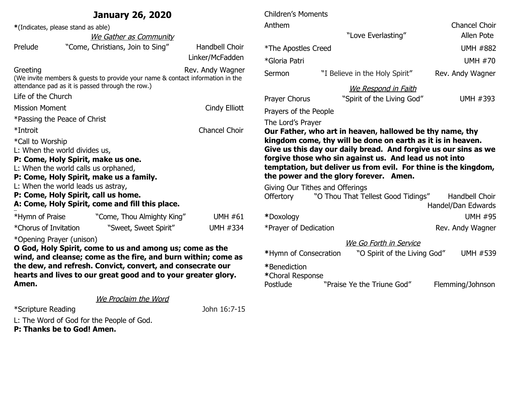|                                                               | <b>January 26, 2020</b>                                                                                                   |                       | <b>Children's Moments</b>                                       |                                                                                                           |                    |
|---------------------------------------------------------------|---------------------------------------------------------------------------------------------------------------------------|-----------------------|-----------------------------------------------------------------|-----------------------------------------------------------------------------------------------------------|--------------------|
| *(Indicates, please stand as able)                            |                                                                                                                           |                       | Anthem                                                          |                                                                                                           | Chancel Choir      |
|                                                               | We Gather as Community                                                                                                    |                       |                                                                 | "Love Everlasting"                                                                                        | Allen Pote         |
| Prelude                                                       | "Come, Christians, Join to Sing"                                                                                          | Handbell Choir        | *The Apostles Creed                                             |                                                                                                           | <b>UMH #882</b>    |
|                                                               |                                                                                                                           | Linker/McFadden       | *Gloria Patri                                                   |                                                                                                           | <b>UMH #70</b>     |
| Greeting                                                      | (We invite members & guests to provide your name & contact information in the                                             | Rev. Andy Wagner      | Sermon                                                          | "I Believe in the Holy Spirit"                                                                            | Rev. Andy Wagner   |
| attendance pad as it is passed through the row.)              |                                                                                                                           |                       | We Respond in Faith                                             |                                                                                                           |                    |
| Life of the Church                                            |                                                                                                                           |                       | Prayer Chorus                                                   | "Spirit of the Living God"                                                                                | UMH #393           |
| <b>Mission Moment</b><br>Cindy Elliott                        |                                                                                                                           | Prayers of the People |                                                                 |                                                                                                           |                    |
| *Passing the Peace of Christ                                  |                                                                                                                           |                       | The Lord's Prayer                                               |                                                                                                           |                    |
| Chancel Choir<br>*Introit                                     |                                                                                                                           |                       | Our Father, who art in heaven, hallowed be thy name, thy        |                                                                                                           |                    |
| *Call to Worship                                              |                                                                                                                           |                       |                                                                 | kingdom come, thy will be done on earth as it is in heaven.                                               |                    |
| L: When the world divides us,                                 |                                                                                                                           |                       | Give us this day our daily bread. And forgive us our sins as we |                                                                                                           |                    |
|                                                               | P: Come, Holy Spirit, make us one.                                                                                        |                       |                                                                 | forgive those who sin against us. And lead us not into                                                    |                    |
|                                                               | L: When the world calls us orphaned,<br>P: Come, Holy Spirit, make us a family.                                           |                       |                                                                 | temptation, but deliver us from evil. For thine is the kingdom,<br>the power and the glory forever. Amen. |                    |
|                                                               | L: When the world leads us astray,                                                                                        |                       |                                                                 | Giving Our Tithes and Offerings                                                                           |                    |
|                                                               | P: Come, Holy Spirit, call us home.                                                                                       |                       | <b>Offertory</b>                                                | "O Thou That Tellest Good Tidings"                                                                        | Handbell Choir     |
| A: Come, Holy Spirit, come and fill this place.               |                                                                                                                           |                       |                                                                 |                                                                                                           | Handel/Dan Edwards |
| *Hymn of Praise                                               | "Come, Thou Almighty King"                                                                                                | <b>UMH #61</b>        | *Doxology                                                       |                                                                                                           | <b>UMH #95</b>     |
| *Chorus of Invitation                                         | "Sweet, Sweet Spirit"                                                                                                     | <b>UMH #334</b>       | *Prayer of Dedication                                           |                                                                                                           | Rev. Andy Wagner   |
| *Opening Prayer (unison)                                      |                                                                                                                           |                       | We Go Forth in Service                                          |                                                                                                           |                    |
|                                                               | O God, Holy Spirit, come to us and among us; come as the<br>wind, and cleanse; come as the fire, and burn within; come as |                       | *Hymn of Consecration                                           | "O Spirit of the Living God"                                                                              | <b>UMH #539</b>    |
| the dew, and refresh. Convict, convert, and consecrate our    |                                                                                                                           |                       | *Benediction                                                    |                                                                                                           |                    |
| hearts and lives to our great good and to your greater glory. |                                                                                                                           |                       | *Choral Response                                                |                                                                                                           |                    |
| Amen.                                                         |                                                                                                                           |                       | Postlude                                                        | "Praise Ye the Triune God"                                                                                | Flemming/Johnson   |
|                                                               | We Proclaim the Word                                                                                                      |                       |                                                                 |                                                                                                           |                    |

\*Scripture Reading John 16:7-15

L: The Word of God for the People of God.

**P: Thanks be to God! Amen.**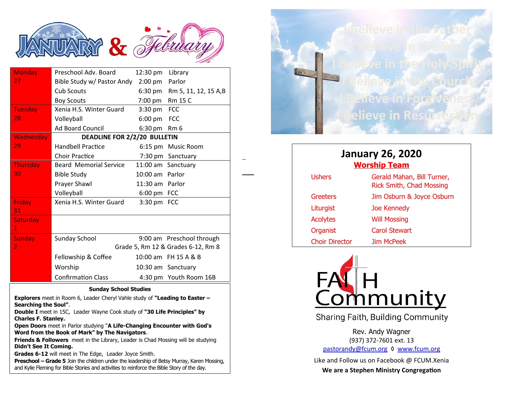

| <b>Monday</b>    | Preschool Adv. Board               | 12:30 pm          | Library                      |  |
|------------------|------------------------------------|-------------------|------------------------------|--|
| 27.              | Bible Study w/ Pastor Andy         | $2:00 \text{ pm}$ | Parlor                       |  |
|                  | <b>Cub Scouts</b>                  |                   | 6:30 pm Rm 5, 11, 12, 15 A,B |  |
|                  | <b>Boy Scouts</b>                  | 7:00 pm Rm 15 C   |                              |  |
| <b>Tuesday</b>   | Xenia H.S. Winter Guard            | 3:30 pm FCC       |                              |  |
| 28               | Volleyball                         | 6:00 pm FCC       |                              |  |
|                  | <b>Ad Board Council</b>            | 6:30 pm Rm 6      |                              |  |
| <b>Wednesday</b> | DEADLINE FOR 2/2/20 BULLETIN       |                   |                              |  |
| 29               | <b>Handbell Practice</b>           |                   | 6:15 pm Music Room           |  |
|                  | <b>Choir Practice</b>              |                   | 7:30 pm Sanctuary            |  |
| Thursday         | <b>Beard Memorial Service</b>      |                   | 11:00 am Sanctuary           |  |
| 30               | <b>Bible Study</b>                 | 10:00 am Parlor   |                              |  |
|                  | Prayer Shawl                       | 11:30 am Parlor   |                              |  |
|                  | Volleyball                         | 6:00 pm FCC       |                              |  |
| <b>Friday</b>    | Xenia H.S. Winter Guard            | 3:30 pm FCC       |                              |  |
| 31               |                                    |                   |                              |  |
| Saturday         |                                    |                   |                              |  |
| $\mathbf{1}$     |                                    |                   |                              |  |
| <b>Sunday</b>    | <b>Sunday School</b>               |                   | 9:00 am Preschool through    |  |
| $\overline{2}$   | Grade 5, Rm 12 & Grades 6-12, Rm 8 |                   |                              |  |
|                  | Fellowship & Coffee                |                   | 10:00 am FH 15 A & B         |  |
|                  | Worship                            |                   | 10:30 am Sanctuary           |  |
|                  | <b>Confirmation Class</b>          |                   | 4:30 pm Youth Room 16B       |  |

1

## **Sunday School Studies**

**Explorers** meet in Room 6, Leader Cheryl Vahle study of **"Leading to Easter – Searching the Soul"**.

**Double I** meet in 15C, Leader Wayne Cook study of **"30 Life Principles" by Charles F. Stanley.**

**Open Doors** meet in Parlor studying "**A Life-Changing Encounter with God's Word from the Book of Mark" by The Navigators**.

**Friends & Followers** meet in the Library, Leader is Chad Mossing will be studying **Didn't See It Coming.**

**Grades 6-12** will meet in The Edge, Leader Joyce Smith.

**Preschool – Grade 5** Join the children under the leadership of Betsy Murray, Karen Mossing, and Kylie Fleming for Bible Stories and activities to reinforce the Bible Story of the day.



| <b>January 26, 2020</b><br><b>Worship Team</b> |                                                               |  |  |  |
|------------------------------------------------|---------------------------------------------------------------|--|--|--|
| <b>Ushers</b>                                  | Gerald Mahan, Bill Turner,<br><b>Rick Smith, Chad Mossing</b> |  |  |  |
| Greeters                                       | Jim Osburn & Joyce Osburn                                     |  |  |  |
| Liturgist                                      | <b>Joe Kennedy</b>                                            |  |  |  |
| <b>Acolytes</b>                                | <b>Will Mossing</b>                                           |  |  |  |
| Organist                                       | Carol Stewart                                                 |  |  |  |
| <b>Choir Director</b>                          | <b>Jim McPeek</b>                                             |  |  |  |



Sharing Faith, Building Community

Rev. Andy Wagner (937) 372-7601 ext. 13 [pastorandy@fcum.org](mailto:pastorandy@fcum.org) ♦ [www.fcum.org](http://www.fcum.org/)

Like and Follow us on Facebook @ FCUM.Xenia

**We are a Stephen Ministry Congregation**